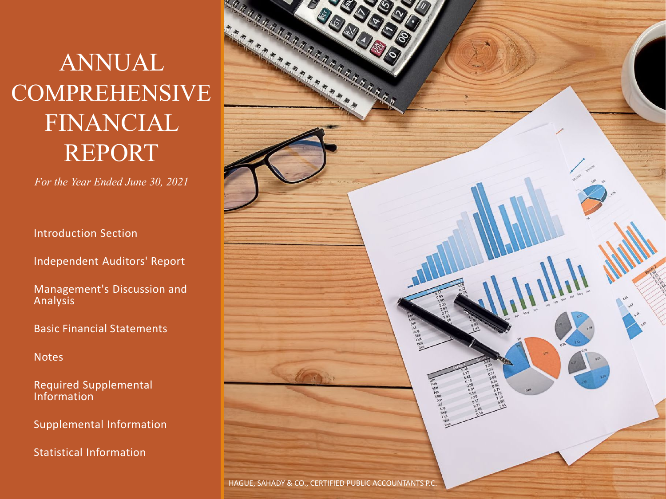# ANNUAL COMPREHENSIVE FINANCIAL REPORT

*For the Year Ended June 30, 2021*

Introduction Section

Independent Auditors' Report

Management's Discussion and Analysis

Basic Financial Statements

**Notes** 

Required Supplemental Information

Supplemental Information

Statistical Information

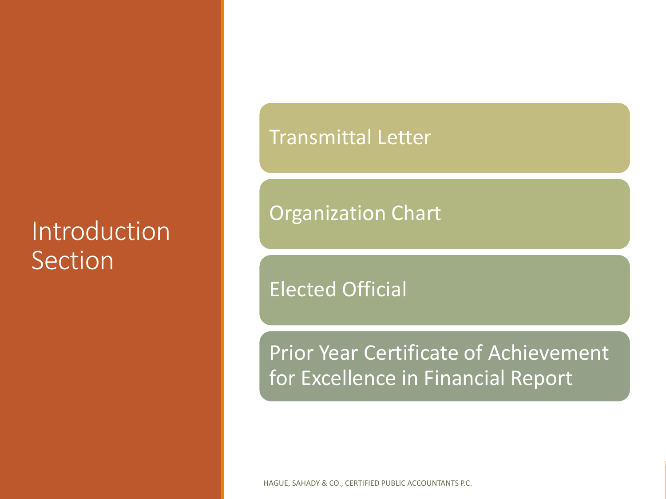# Introduction Section

# Transmittal Letter

# **Organization Chart**

Elected Official

Prior Year Certificate of Achievement for Excellence in Financial Report

HAGUE, SAHADY & CO., CERTIFIED PUBLIC ACCOUNTANTS P.C.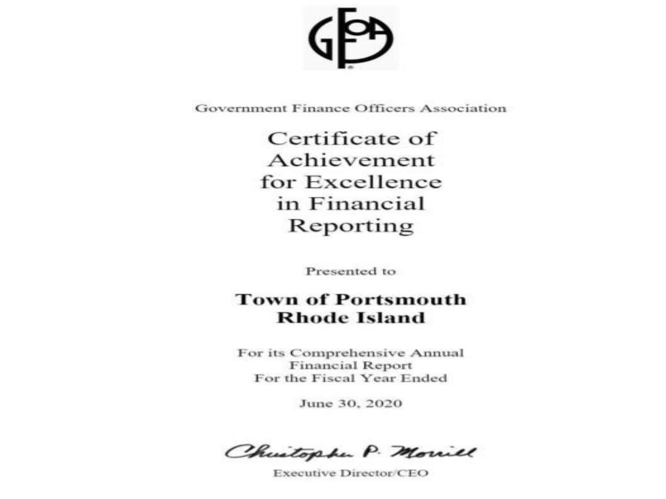Government Finance Officers Association

Certificate of Achievement for Excellence in Financial Reporting

Presented to

## **Town of Portsmouth Rhode Island**

For its Comprehensive Annual **Financial Report** For the Fiscal Year Ended

June 30, 2020

Christopher P. Morriel

**Executive Director/CEO**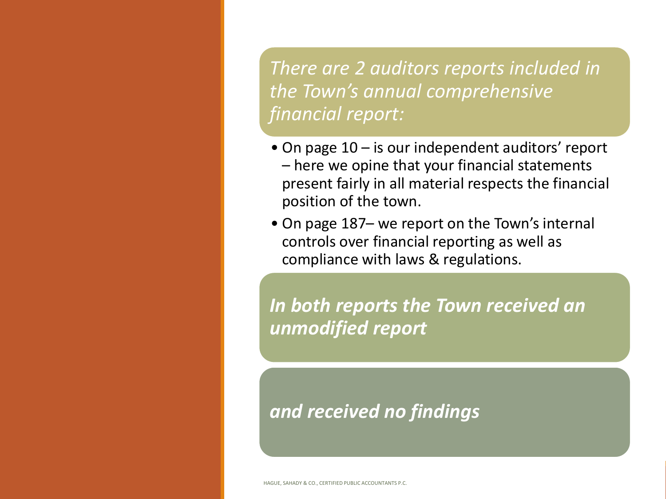*There are 2 auditors reports included in the Town's annual comprehensive financial report:*

- On page 10 is our independent auditors' report – here we opine that your financial statements present fairly in all material respects the financial position of the town.
- On page 187– we report on the Town's internal controls over financial reporting as well as compliance with laws & regulations.

*In both reports the Town received an unmodified report* 

*and received no findings*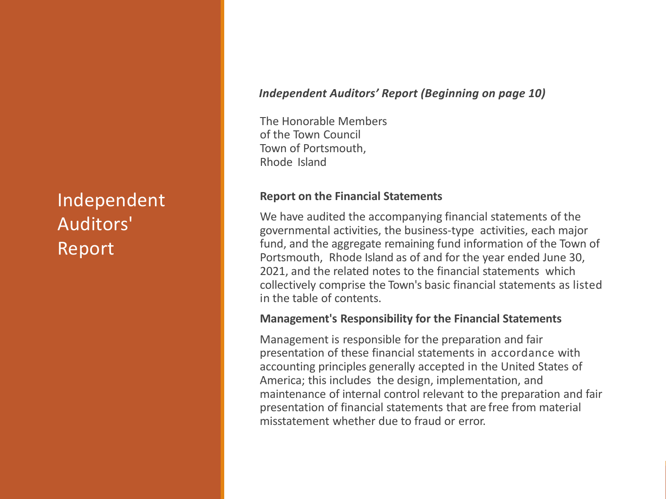## *Independent Auditors' Report (Beginning on page 10)*

The Honorable Members of the Town Council Town of Portsmouth, Rhode Island

## **Report on the Financial Statements**

We have audited the accompanying financial statements of the governmental activities, the business-type activities, each major fund, and the aggregate remaining fund information of the Town of Portsmouth, Rhode Island as of and for the year ended June 30, 2021, and the related notes to the financial statements which collectively comprise the Town's basic financial statements as listed in the table of contents.

## **Management's Responsibility for the Financial Statements**

Management is responsible for the preparation and fair presentation of these financial statements in accordance with accounting principles generally accepted in the United States of America; this includes the design, implementation, and maintenance of internal control relevant to the preparation and fair presentation of financial statements that are free from material misstatement whether due to fraud or error.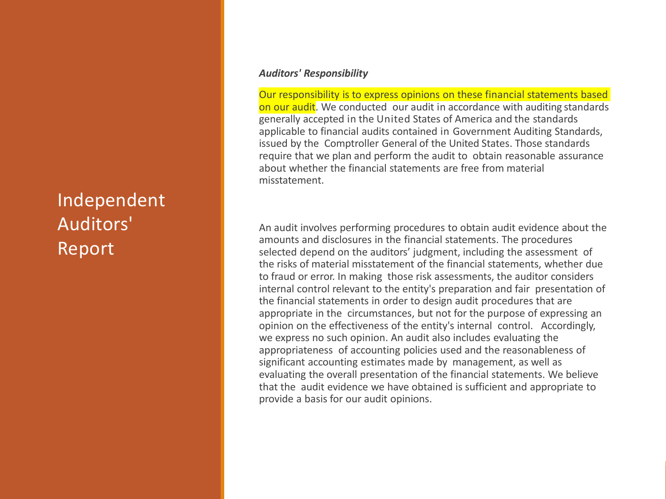### *Auditors' Responsibility*

Our responsibility is to express opinions on these financial statements based on our audit. We conducted our audit in accordance with auditing standards generally accepted in the United States of America and the standards applicable to financial audits contained in Government Auditing Standards, issued by the Comptroller General of the United States. Those standards require that we plan and perform the audit to obtain reasonable assurance about whether the financial statements are free from material misstatement.

An audit involves performing procedures to obtain audit evidence about the amounts and disclosures in the financial statements. The procedures selected depend on the auditors' judgment, including the assessment of the risks of material misstatement of the financial statements, whether due to fraud or error. In making those risk assessments, the auditor considers internal control relevant to the entity's preparation and fair presentation of the financial statements in order to design audit procedures that are appropriate in the circumstances, but not for the purpose of expressing an opinion on the effectiveness of the entity's internal control. Accordingly, we express no such opinion. An audit also includes evaluating the appropriateness of accounting policies used and the reasonableness of significant accounting estimates made by management, as well as evaluating the overall presentation of the financial statements. We believe that the audit evidence we have obtained is sufficient and appropriate to provide a basis for our audit opinions.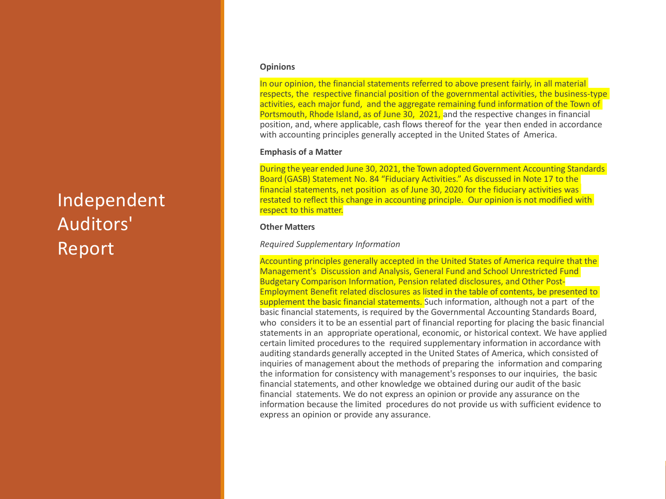#### **Opinions**

In our opinion, the financial statements referred to above present fairly, in all material respects, the respective financial position of the governmental activities, the business-type activities, each major fund, and the aggregate remaining fund information of the Town of Portsmouth, Rhode Island, as of June 30, 2021, and the respective changes in financial position, and, where applicable, cash flows thereof for the year then ended in accordance with accounting principles generally accepted in the United States of America.

#### **Emphasis of a Matter**

During the year ended June 30, 2021, the Town adopted Government Accounting Standards Board (GASB) Statement No. 84 "Fiduciary Activities." As discussed in Note 17 to the financial statements, net position as of June 30, 2020 for the fiduciary activities was restated to reflect this change in accounting principle. Our opinion is not modified with respect to this matter.

#### **Other Matters**

#### *Required Supplementary Information*

Accounting principles generally accepted in the United States of America require that the Management's Discussion and Analysis, General Fund and School Unrestricted Fund Budgetary Comparison Information, Pension related disclosures, and Other Post-Employment Benefit related disclosures as listed in the table of contents, be presented to supplement the basic financial statements. Such information, although not a part of the basic financial statements, is required by the Governmental Accounting Standards Board, who considers it to be an essential part of financial reporting for placing the basic financial statements in an appropriate operational, economic, or historical context. We have applied certain limited procedures to the required supplementary information in accordance with auditing standards generally accepted in the United States of America, which consisted of inquiries of management about the methods of preparing the information and comparing the information for consistency with management's responses to our inquiries, the basic financial statements, and other knowledge we obtained during our audit of the basic financial statements. We do not express an opinion or provide any assurance on the information because the limited procedures do not provide us with sufficient evidence to express an opinion or provide any assurance.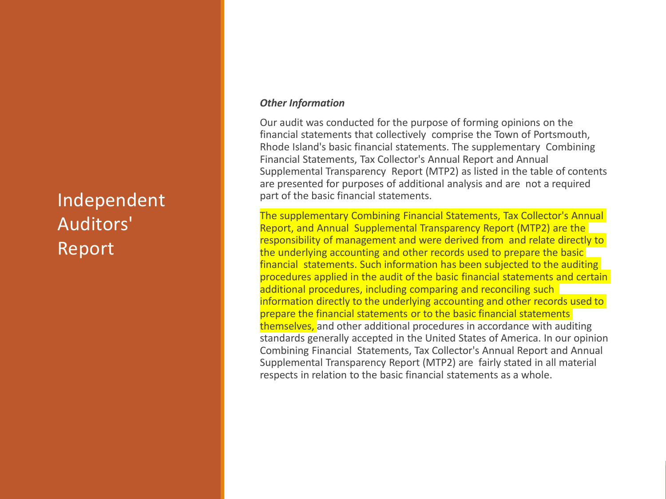### *Other Information*

Our audit was conducted for the purpose of forming opinions on the financial statements that collectively comprise the Town of Portsmouth, Rhode Island's basic financial statements. The supplementary Combining Financial Statements, Tax Collector's Annual Report and Annual Supplemental Transparency Report (MTP2) as listed in the table of contents are presented for purposes of additional analysis and are not a required part of the basic financial statements.

The supplementary Combining Financial Statements, Tax Collector's Annual Report, and Annual Supplemental Transparency Report (MTP2) are the responsibility of management and were derived from and relate directly to the underlying accounting and other records used to prepare the basic financial statements. Such information has been subjected to the auditing procedures applied in the audit of the basic financial statements and certain additional procedures, including comparing and reconciling such information directly to the underlying accounting and other records used to prepare the financial statements or to the basic financial statements themselves, and other additional procedures in accordance with auditing standards generally accepted in the United States of America. In our opinion Combining Financial Statements, Tax Collector's Annual Report and Annual Supplemental Transparency Report (MTP2) are fairly stated in all material respects in relation to the basic financial statements as a whole.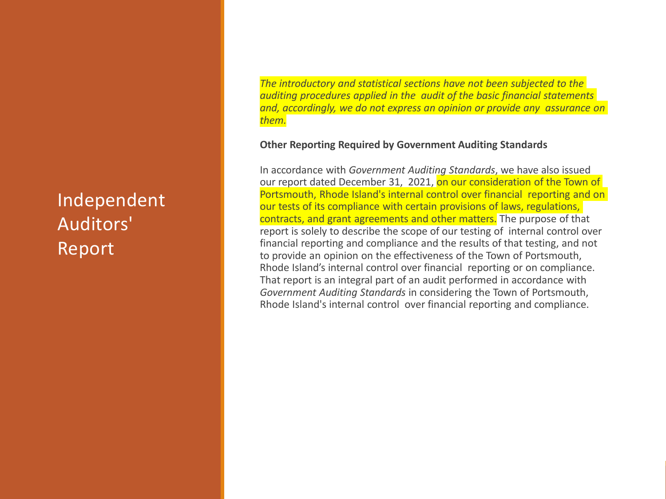*The introductory and statistical sections have not been subjected to the auditing procedures applied in the audit of the basic financial statements and, accordingly, we do not express an opinion or provide any assurance on them.*

### **Other Reporting Required by Government Auditing Standards**

In accordance with *Government Auditing Standards*, we have also issued our report dated December 31, 2021, on our consideration of the Town of Portsmouth, Rhode Island's internal control over financial reporting and on our tests of its compliance with certain provisions of laws, regulations, contracts, and grant agreements and other matters. The purpose of that report is solely to describe the scope of our testing of internal control over financial reporting and compliance and the results of that testing, and not to provide an opinion on the effectiveness of the Town of Portsmouth, Rhode Island's internal control over financial reporting or on compliance. That report is an integral part of an audit performed in accordance with *Government Auditing Standards* in considering the Town of Portsmouth, Rhode Island's internal control over financial reporting and compliance.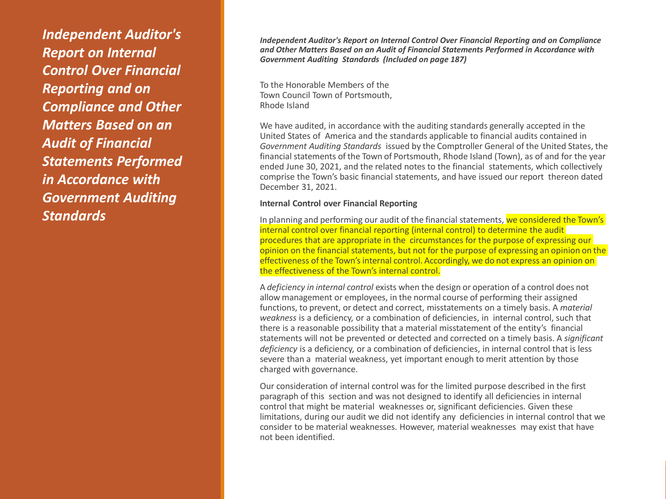*Independent Auditor's Report on Internal Control Over Financial Reporting and on Compliance and Other Matters Based on an Audit of Financial Statements Performed in Accordance with Government Auditing Standards*

*Independent Auditor's Report on Internal Control Over Financial Reporting and on Compliance and Other Matters Based on an Audit of Financial Statements Performed in Accordance with Government Auditing Standards (Included on page 187)*

To the Honorable Members of the Town Council Town of Portsmouth, Rhode Island

We have audited, in accordance with the auditing standards generally accepted in the United States of America and the standards applicable to financial audits contained in *Government Auditing Standards* issued by the Comptroller General of the United States, the financial statements of the Town of Portsmouth, Rhode Island (Town), as of and for the year ended June 30, 2021, and the related notes to the financial statements, which collectively comprise the Town's basic financial statements, and have issued our report thereon dated December 31, 2021.

#### **Internal Control over Financial Reporting**

In planning and performing our audit of the financial statements, we considered the Town's internal control over financial reporting (internal control) to determine the audit procedures that are appropriate in the circumstances for the purpose of expressing our opinion on the financial statements, but not for the purpose of expressing an opinion on the effectiveness of the Town's internal control. Accordingly, we do not express an opinion on the effectiveness of the Town's internal control.

A *deficiency in internal control* exists when the design or operation of a control does not allow management or employees, in the normal course of performing their assigned functions, to prevent, or detect and correct, misstatements on a timely basis. A *material weakness* is a deficiency, or a combination of deficiencies, in internal control, such that there is a reasonable possibility that a material misstatement of the entity's financial statements will not be prevented or detected and corrected on a timely basis. A *significant deficiency* is a deficiency, or a combination of deficiencies, in internal control that is less severe than a material weakness, yet important enough to merit attention by those charged with governance.

Our consideration of internal control was for the limited purpose described in the first paragraph of this section and was not designed to identify all deficiencies in internal control that might be material weaknesses or, significant deficiencies. Given these limitations, during our audit we did not identify any deficiencies in internal control that we consider to be material weaknesses. However, material weaknesses may exist that have not been identified.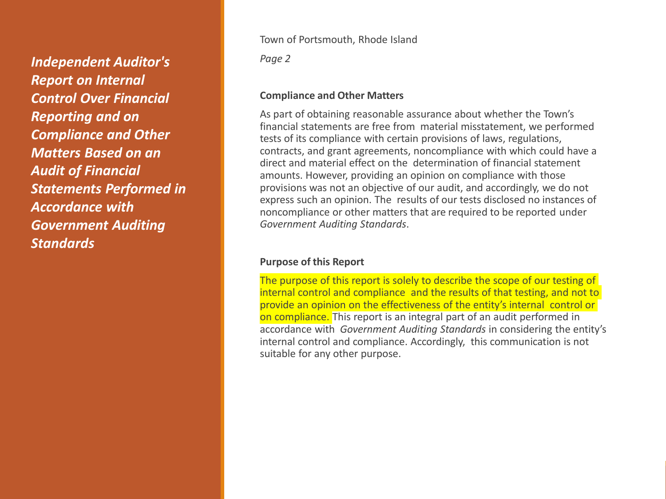*Independent Auditor's Report on Internal Control Over Financial Reporting and on Compliance and Other Matters Based on an Audit of Financial Statements Performed in Accordance with Government Auditing Standards*

Town of Portsmouth, Rhode Island

*Page 2*

## **Compliance and Other Matters**

As part of obtaining reasonable assurance about whether the Town's financial statements are free from material misstatement, we performed tests of its compliance with certain provisions of laws, regulations, contracts, and grant agreements, noncompliance with which could have a direct and material effect on the determination of financial statement amounts. However, providing an opinion on compliance with those provisions was not an objective of our audit, and accordingly, we do not express such an opinion. The results of our tests disclosed no instances of noncompliance or other matters that are required to be reported under *Government Auditing Standards*.

## **Purpose of this Report**

The purpose of this report is solely to describe the scope of our testing of internal control and compliance and the results of that testing, and not to provide an opinion on the effectiveness of the entity's internal control or on compliance. This report is an integral part of an audit performed in accordance with *Government Auditing Standards* in considering the entity's internal control and compliance. Accordingly, this communication is not suitable for any other purpose.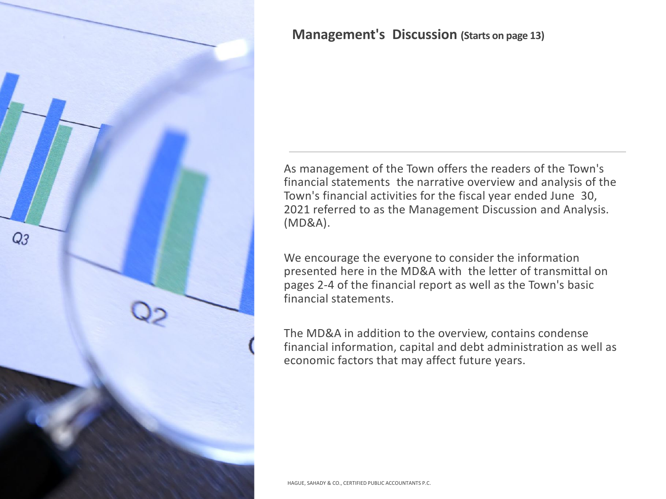

## **Management's Discussion (Starts on page 13)**

As management of the Town offers the readers of the Town's financial statements the narrative overview and analysis of the Town's financial activities for the fiscal year ended June 30, 2021 referred to as the Management Discussion and Analysis. (MD&A).

We encourage the everyone to consider the information presented here in the MD&A with the letter of transmittal on pages 2-4 of the financial report as well as the Town's basic financial statements.

The MD&A in addition to the overview, contains condense financial information, capital and debt administration as well as economic factors that may affect future years.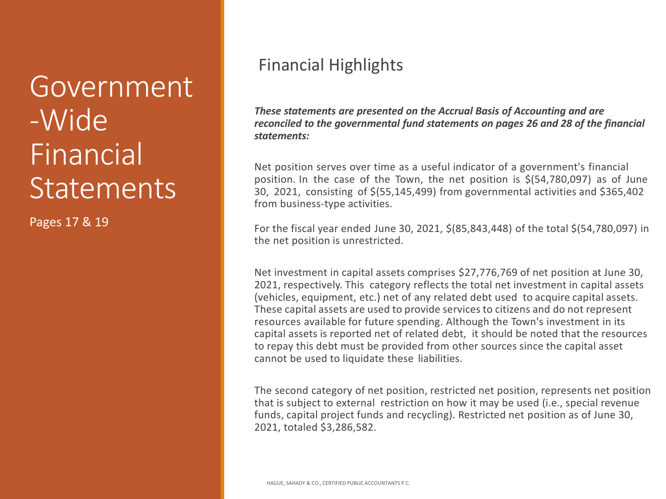# Government -Wide Financial **Statements**

Pages 17 & 19

# Financial Highlights

*These statements are presented on the Accrual Basis of Accounting and are reconciled to the governmental fund statements on pages 26 and 28 of the financial statements:*

Net position serves over time as a useful indicator of a government's financial position. In the case of the Town, the net position is \$(54,780,097) as of June 30, 2021, consisting of \$(55,145,499) from governmental activities and \$365,402 from business-type activities.

For the fiscal year ended June 30, 2021, \$(85,843,448) of the total \$(54,780,097) in the net position is unrestricted.

Net investment in capital assets comprises \$27,776,769 of net position at June 30, 2021, respectively. This category reflects the total net investment in capital assets (vehicles, equipment, etc.) net of any related debt used to acquire capital assets. These capital assets are used to provide services to citizens and do not represent resources available for future spending. Although the Town's investment in its capital assets is reported net of related debt, it should be noted that the resources to repay this debt must be provided from other sources since the capital asset cannot be used to liquidate these liabilities.

The second category of net position, restricted net position, represents net position that is subject to external restriction on how it may be used (i.e., special revenue funds, capital project funds and recycling). Restricted net position as of June 30, 2021, totaled \$3,286,582.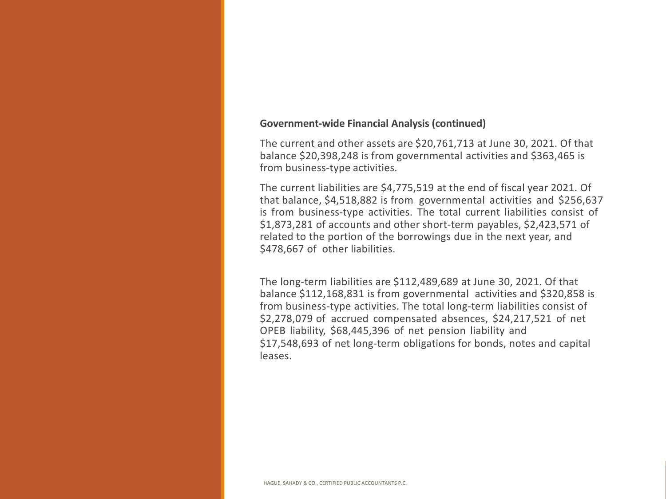#### **Government-wide Financial Analysis (continued)**

The current and other assets are \$20,761,713 at June 30, 2021. Of that balance \$20,398,248 is from governmental activities and \$363,465 is from business-type activities.

The current liabilities are \$4,775,519 at the end of fiscal year 2021. Of that balance, \$4,518,882 is from governmental activities and \$256,637 is from business-type activities. The total current liabilities consist of \$1,873,281 of accounts and other short-term payables, \$2,423,571 of related to the portion of the borrowings due in the next year, and \$478,667 of other liabilities.

The long-term liabilities are \$112,489,689 at June 30, 2021. Of that balance \$112,168,831 is from governmental activities and \$320,858 is from business-type activities. The total long-term liabilities consist of \$2,278,079 of accrued compensated absences, \$24,217,521 of net OPEB liability, \$68,445,396 of net pension liability and \$17,548,693 of net long-term obligations for bonds, notes and capital leases.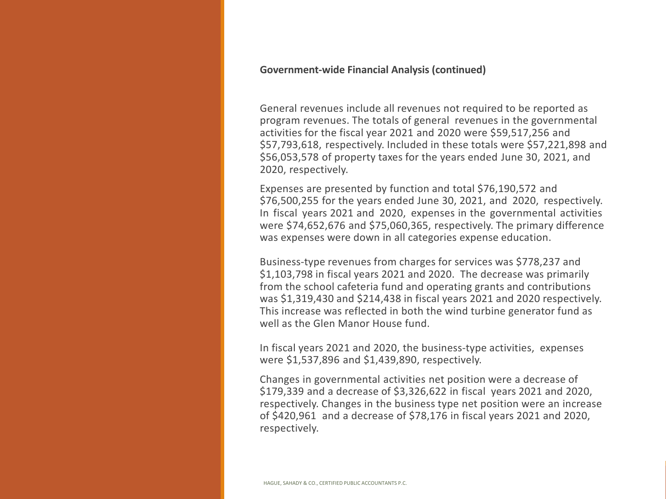### **Government-wide Financial Analysis (continued)**

General revenues include all revenues not required to be reported as program revenues. The totals of general revenues in the governmental activities for the fiscal year 2021 and 2020 were \$59,517,256 and \$57,793,618, respectively. Included in these totals were \$57,221,898 and \$56,053,578 of property taxes for the years ended June 30, 2021, and 2020, respectively.

Expenses are presented by function and total \$76,190,572 and \$76,500,255 for the years ended June 30, 2021, and 2020, respectively. In fiscal years 2021 and 2020, expenses in the governmental activities were \$74,652,676 and \$75,060,365, respectively. The primary difference was expenses were down in all categories expense education.

Business-type revenues from charges for services was \$778,237 and \$1,103,798 in fiscal years 2021 and 2020. The decrease was primarily from the school cafeteria fund and operating grants and contributions was \$1,319,430 and \$214,438 in fiscal years 2021 and 2020 respectively. This increase was reflected in both the wind turbine generator fund as well as the Glen Manor House fund.

In fiscal years 2021 and 2020, the business-type activities, expenses were \$1,537,896 and \$1,439,890, respectively.

Changes in governmental activities net position were a decrease of \$179,339 and a decrease of \$3,326,622 in fiscal years 2021 and 2020, respectively. Changes in the business type net position were an increase of \$420,961 and a decrease of \$78,176 in fiscal years 2021 and 2020, respectively.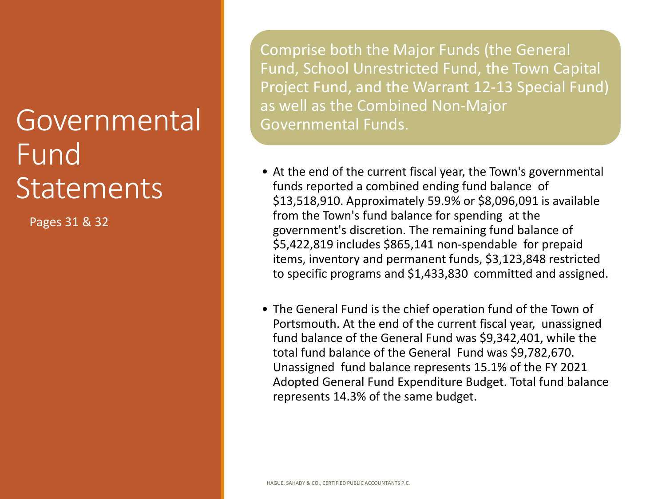# Governmental Fund **Statements**

Pages 31 & 32

Comprise both the Major Funds (the General Fund, School Unrestricted Fund, the Town Capital Project Fund, and the Warrant 12-13 Special Fund) as well as the Combined Non-Major Governmental Funds.

- At the end of the current fiscal year, the Town's governmental funds reported a combined ending fund balance of \$13,518,910. Approximately 59.9% or \$8,096,091 is available from the Town's fund balance for spending at the government's discretion. The remaining fund balance of \$5,422,819 includes \$865,141 non-spendable for prepaid items, inventory and permanent funds, \$3,123,848 restricted to specific programs and \$1,433,830 committed and assigned.
- The General Fund is the chief operation fund of the Town of Portsmouth. At the end of the current fiscal year, unassigned fund balance of the General Fund was \$9,342,401, while the total fund balance of the General Fund was \$9,782,670. Unassigned fund balance represents 15.1% of the FY 2021 Adopted General Fund Expenditure Budget. Total fund balance represents 14.3% of the same budget.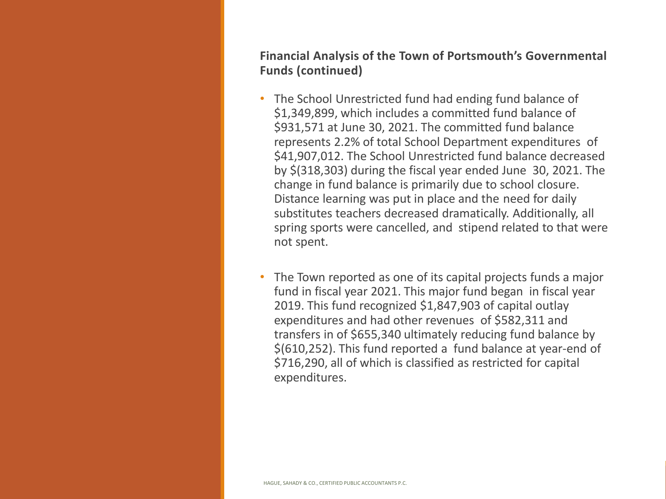**Financial Analysis of the Town of Portsmouth's Governmental Funds (continued)**

- The School Unrestricted fund had ending fund balance of \$1,349,899, which includes a committed fund balance of \$931,571 at June 30, 2021. The committed fund balance represents 2.2% of total School Department expenditures of \$41,907,012. The School Unrestricted fund balance decreased by \$(318,303) during the fiscal year ended June 30, 2021. The change in fund balance is primarily due to school closure. Distance learning was put in place and the need for daily substitutes teachers decreased dramatically. Additionally, all spring sports were cancelled, and stipend related to that were not spent.
- The Town reported as one of its capital projects funds a major fund in fiscal year 2021. This major fund began in fiscal year 2019. This fund recognized \$1,847,903 of capital outlay expenditures and had other revenues of \$582,311 and transfers in of \$655,340 ultimately reducing fund balance by \$(610,252). This fund reported a fund balance at year-end of \$716,290, all of which is classified as restricted for capital expenditures.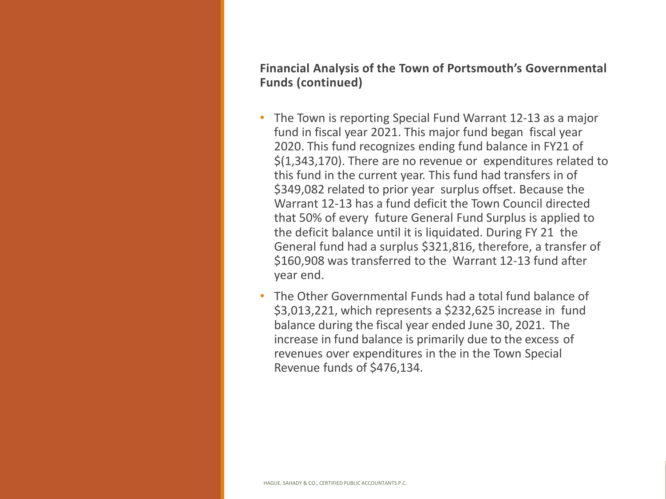**Financial Analysis of the Town of Portsmouth's Governmental Funds (continued)**

- The Town is reporting Special Fund Warrant 12-13 as a major fund in fiscal year 2021. This major fund began fiscal year 2020. This fund recognizes ending fund balance in FY21 of \$(1,343,170). There are no revenue or expenditures related to this fund in the current year. This fund had transfers in of \$349,082 related to prior year surplus offset. Because the Warrant 12-13 has a fund deficit the Town Council directed that 50% of every future General Fund Surplus is applied to the deficit balance until it is liquidated. During FY 21 the General fund had a surplus \$321,816, therefore, a transfer of \$160,908 was transferred to the Warrant 12-13 fund after year end.
- The Other Governmental Funds had a total fund balance of \$3,013,221, which represents a \$232,625 increase in fund balance during the fiscal year ended June 30, 2021. The increase in fund balance is primarily due to the excess of revenues over expenditures in the in the Town Special Revenue funds of \$476,134.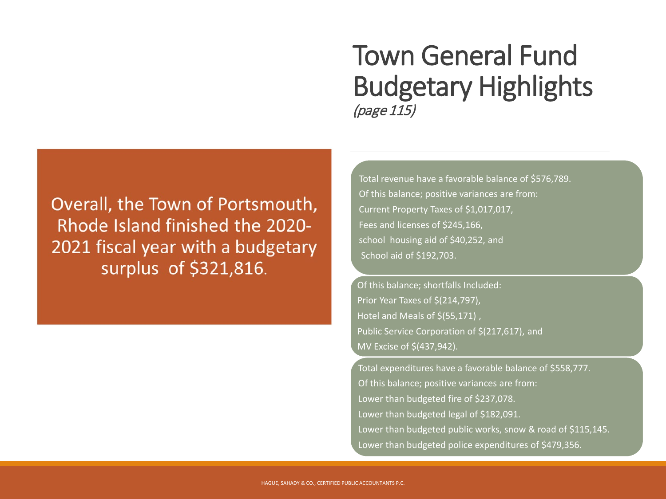# Town General Fund Budgetary Highlights (page 115)

Overall, the Town of Portsmouth, Rhode Island finished the 2020-2021 fiscal year with a budgetary surplus of \$321,816.

Total revenue have a favorable balance of \$576,789. Of this balance; positive variances are from: Current Property Taxes of \$1,017,017, Fees and licenses of \$245,166, school housing aid of \$40,252, and School aid of \$192,703.

Of this balance; shortfalls Included: Prior Year Taxes of \$(214,797), Hotel and Meals of \$(55,171) , Public Service Corporation of \$(217,617), and MV Excise of \$(437,942).

Total expenditures have a favorable balance of \$558,777. Of this balance; positive variances are from: Lower than budgeted fire of \$237,078. Lower than budgeted legal of \$182,091. Lower than budgeted public works, snow & road of \$115,145. Lower than budgeted police expenditures of \$479,356.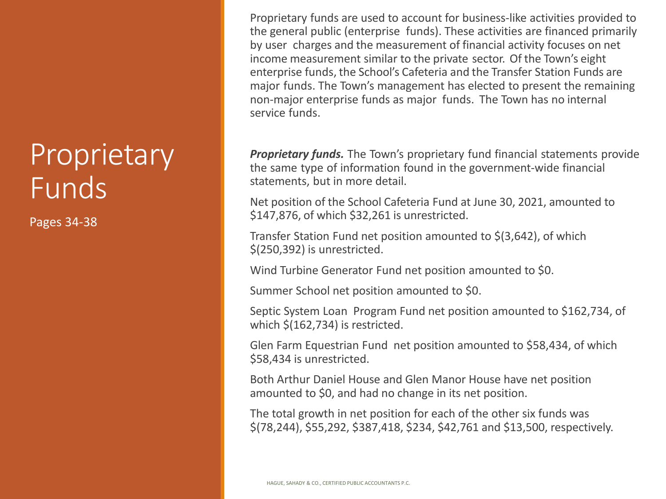# Proprietary Funds

Pages 34-38

Proprietary funds are used to account for business-like activities provided to the general public (enterprise funds). These activities are financed primarily by user charges and the measurement of financial activity focuses on net income measurement similar to the private sector. Of the Town's eight enterprise funds, the School's Cafeteria and the Transfer Station Funds are major funds. The Town's management has elected to present the remaining non-major enterprise funds as major funds. The Town has no internal service funds.

*Proprietary funds.* The Town's proprietary fund financial statements provide the same type of information found in the government-wide financial statements, but in more detail.

Net position of the School Cafeteria Fund at June 30, 2021, amounted to \$147,876, of which \$32,261 is unrestricted.

Transfer Station Fund net position amounted to \$(3,642), of which \$(250,392) is unrestricted.

Wind Turbine Generator Fund net position amounted to \$0.

Summer School net position amounted to \$0.

Septic System Loan Program Fund net position amounted to \$162,734, of which \$(162,734) is restricted.

Glen Farm Equestrian Fund net position amounted to \$58,434, of which \$58,434 is unrestricted.

Both Arthur Daniel House and Glen Manor House have net position amounted to \$0, and had no change in its net position.

The total growth in net position for each of the other six funds was \$(78,244), \$55,292, \$387,418, \$234, \$42,761 and \$13,500, respectively.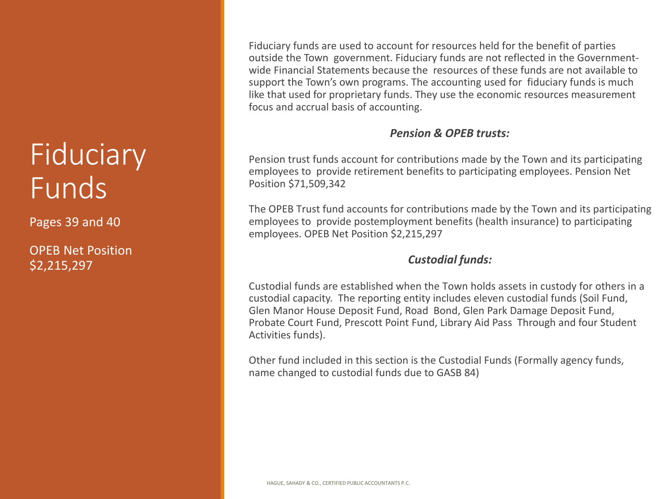# Fiduciary Funds

Pages 39 and 40

OPEB Net Position \$2,215,297

Fiduciary funds are used to account for resources held for the benefit of parties outside the Town government. Fiduciary funds are not reflected in the Governmentwide Financial Statements because the resources of these funds are not available to support the Town's own programs. The accounting used for fiduciary funds is much like that used for proprietary funds. They use the economic resources measurement focus and accrual basis of accounting.

## *Pension & OPEB trusts:*

Pension trust funds account for contributions made by the Town and its participating employees to provide retirement benefits to participating employees. Pension Net Position \$71,509,342

The OPEB Trust fund accounts for contributions made by the Town and its participating employees to provide postemployment benefits (health insurance) to participating employees. OPEB Net Position \$2,215,297

## *Custodial funds:*

Custodial funds are established when the Town holds assets in custody for others in a custodial capacity. The reporting entity includes eleven custodial funds (Soil Fund, Glen Manor House Deposit Fund, Road Bond, Glen Park Damage Deposit Fund, Probate Court Fund, Prescott Point Fund, Library Aid Pass Through and four Student Activities funds).

Other fund included in this section is the Custodial Funds (Formally agency funds, name changed to custodial funds due to GASB 84)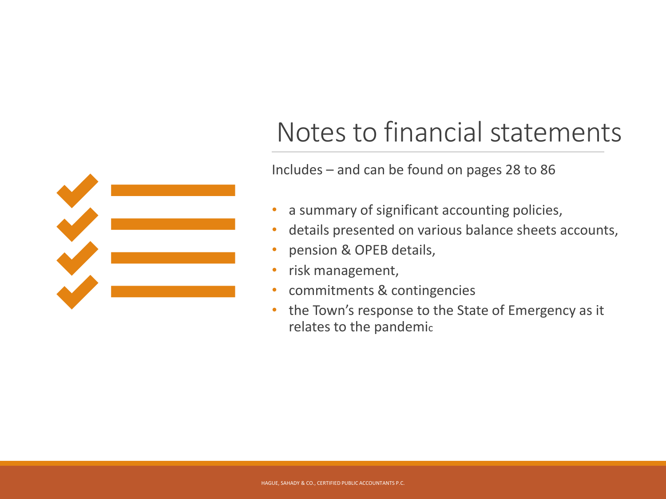# Notes to financial statements

Includes – and can be found on pages 28 to 86



- a summary of significant accounting policies,
- details presented on various balance sheets accounts,
- pension & OPEB details,
- risk management,
- commitments & contingencies
- the Town's response to the State of Emergency as it relates to the pandemic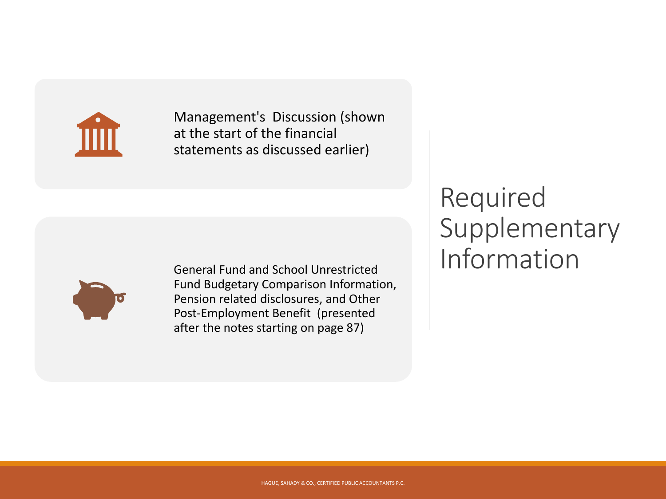

Management's Discussion (shown at the start of the financial statements as discussed earlier)



General Fund and School Unrestricted Fund Budgetary Comparison Information, Pension related disclosures, and Other Post-Employment Benefit (presented after the notes starting on page 87)

# Required Supplementary Information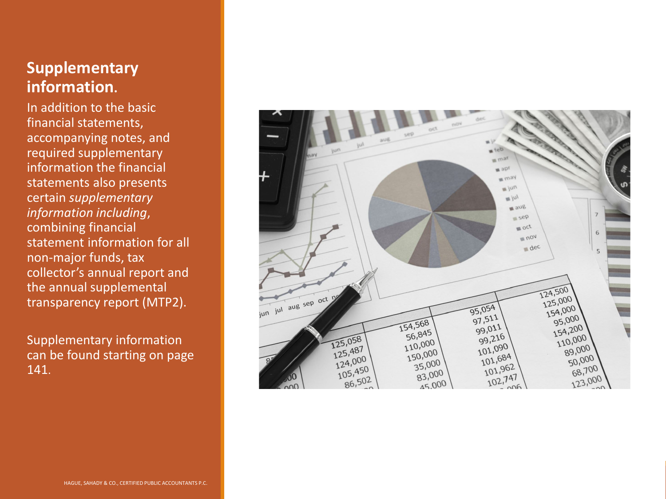## **Supplementary information.**

In addition to the basic financial statements, accompanying notes, and required supplementary information the financial statements also presents certain *supplementary information including*, combining financial statement information for all non-major funds, tax collector's annual report and the annual supplemental transparency report (MTP2).

Supplementary information can be found starting on page 141.

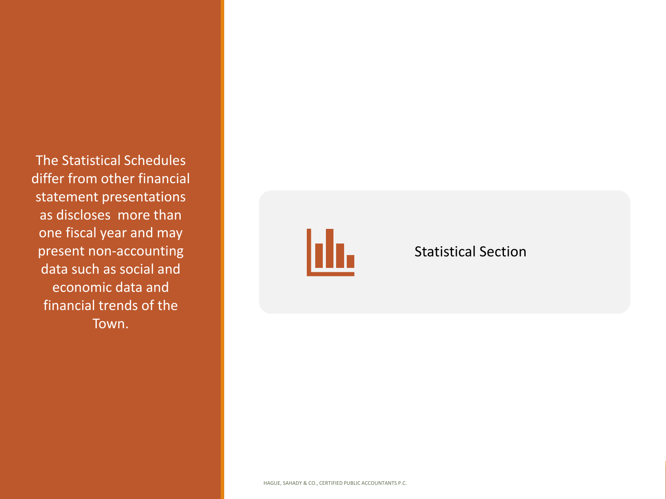The Statistical Schedules differ from other financial statement presentations as discloses more than one fiscal year and may present non-accounting data such as social and economic data and financial trends of the Town.



## Statistical Section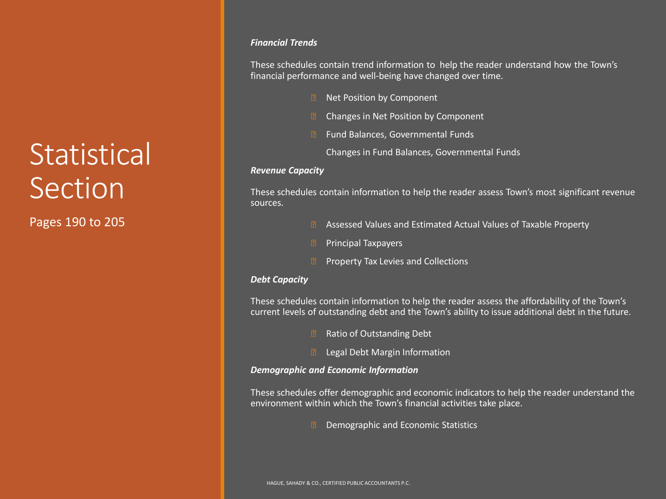# **Statistical** Section

Pages 190 to 205

#### *Financial Trends*

These schedules contain trend information to help the reader understand how the Town's financial performance and well-being have changed over time.

- **R** Net Position by Component
- **R** Changes in Net Position by Component
- **R** Fund Balances, Governmental Funds

Changes in Fund Balances, Governmental Funds

### *Revenue Capacity*

These schedules contain information to help the reader assess Town's most significant revenue sources.

- **B** Assessed Values and Estimated Actual Values of Taxable Property
- **Principal Taxpayers**
- **P** Property Tax Levies and Collections

### *Debt Capacity*

These schedules contain information to help the reader assess the affordability of the Town's current levels of outstanding debt and the Town's ability to issue additional debt in the future.

- **Ratio of Outstanding Debt**
- **R** Legal Debt Margin Information

### *Demographic and Economic Information*

These schedules offer demographic and economic indicators to help the reader understand the environment within which the Town's financial activities take place.

**D** Demographic and Economic Statistics